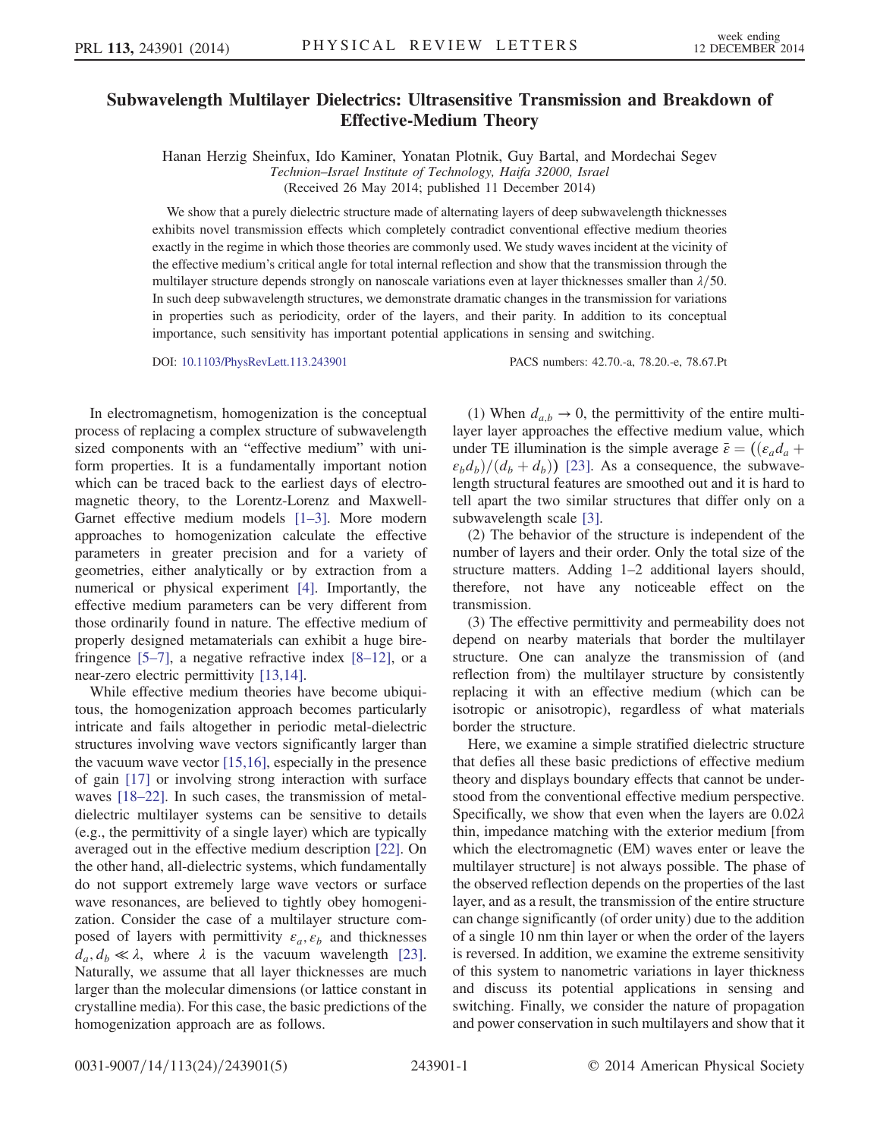## Subwavelength Multilayer Dielectrics: Ultrasensitive Transmission and Breakdown of Effective-Medium Theory

Hanan Herzig Sheinfux, Ido Kaminer, Yonatan Plotnik, Guy Bartal, and Mordechai Segev Technion–Israel Institute of Technology, Haifa 32000, Israel (Received 26 May 2014; published 11 December 2014)

We show that a purely dielectric structure made of alternating layers of deep subwavelength thicknesses exhibits novel transmission effects which completely contradict conventional effective medium theories exactly in the regime in which those theories are commonly used. We study waves incident at the vicinity of the effective medium's critical angle for total internal reflection and show that the transmission through the multilayer structure depends strongly on nanoscale variations even at layer thicknesses smaller than  $\lambda/50$ . In such deep subwavelength structures, we demonstrate dramatic changes in the transmission for variations in properties such as periodicity, order of the layers, and their parity. In addition to its conceptual importance, such sensitivity has important potential applications in sensing and switching.

DOI: [10.1103/PhysRevLett.113.243901](http://dx.doi.org/10.1103/PhysRevLett.113.243901) PACS numbers: 42.70.-a, 78.20.-e, 78.67.Pt

In electromagnetism, homogenization is the conceptual process of replacing a complex structure of subwavelength sized components with an "effective medium" with uniform properties. It is a fundamentally important notion which can be traced back to the earliest days of electromagnetic theory, to the Lorentz-Lorenz and Maxwell-Garnet effective medium models [1–[3\].](#page-4-0) More modern approaches to homogenization calculate the effective parameters in greater precision and for a variety of geometries, either analytically or by extraction from a numerical or physical experiment [\[4\].](#page-4-1) Importantly, the effective medium parameters can be very different from those ordinarily found in nature. The effective medium of properly designed metamaterials can exhibit a huge birefringence  $[5-7]$  $[5-7]$ , a negative refractive index  $[8-12]$  $[8-12]$ , or a near-zero electric permittivity [\[13,14\]](#page-4-4).

While effective medium theories have become ubiquitous, the homogenization approach becomes particularly intricate and fails altogether in periodic metal-dielectric structures involving wave vectors significantly larger than the vacuum wave vector [\[15,16\]](#page-4-5), especially in the presence of gain [\[17\]](#page-4-6) or involving strong interaction with surface waves [18–[22\].](#page-4-7) In such cases, the transmission of metaldielectric multilayer systems can be sensitive to details (e.g., the permittivity of a single layer) which are typically averaged out in the effective medium description [\[22\]](#page-4-8). On the other hand, all-dielectric systems, which fundamentally do not support extremely large wave vectors or surface wave resonances, are believed to tightly obey homogenization. Consider the case of a multilayer structure composed of layers with permittivity  $\varepsilon_a$ ,  $\varepsilon_b$  and thicknesses  $d_a, d_b \ll \lambda$ , where  $\lambda$  is the vacuum wavelength [\[23\]](#page-4-9). Naturally, we assume that all layer thicknesses are much larger than the molecular dimensions (or lattice constant in crystalline media). For this case, the basic predictions of the homogenization approach are as follows.

(1) When  $d_{a,b} \rightarrow 0$ , the permittivity of the entire multilayer layer approaches the effective medium value, which under TE illumination is the simple average  $\bar{\varepsilon} = ((\varepsilon_a d_a +$  $\varepsilon_b d_b$  /  $(d_b + d_b)$  [\[23\].](#page-4-9) As a consequence, the subwavelength structural features are smoothed out and it is hard to tell apart the two similar structures that differ only on a subwavelength scale [\[3\]](#page-4-10).

(2) The behavior of the structure is independent of the number of layers and their order. Only the total size of the structure matters. Adding 1–2 additional layers should, therefore, not have any noticeable effect on the transmission.

(3) The effective permittivity and permeability does not depend on nearby materials that border the multilayer structure. One can analyze the transmission of (and reflection from) the multilayer structure by consistently replacing it with an effective medium (which can be isotropic or anisotropic), regardless of what materials border the structure.

Here, we examine a simple stratified dielectric structure that defies all these basic predictions of effective medium theory and displays boundary effects that cannot be understood from the conventional effective medium perspective. Specifically, we show that even when the layers are  $0.02\lambda$ thin, impedance matching with the exterior medium [from which the electromagnetic (EM) waves enter or leave the multilayer structure] is not always possible. The phase of the observed reflection depends on the properties of the last layer, and as a result, the transmission of the entire structure can change significantly (of order unity) due to the addition of a single 10 nm thin layer or when the order of the layers is reversed. In addition, we examine the extreme sensitivity of this system to nanometric variations in layer thickness and discuss its potential applications in sensing and switching. Finally, we consider the nature of propagation and power conservation in such multilayers and show that it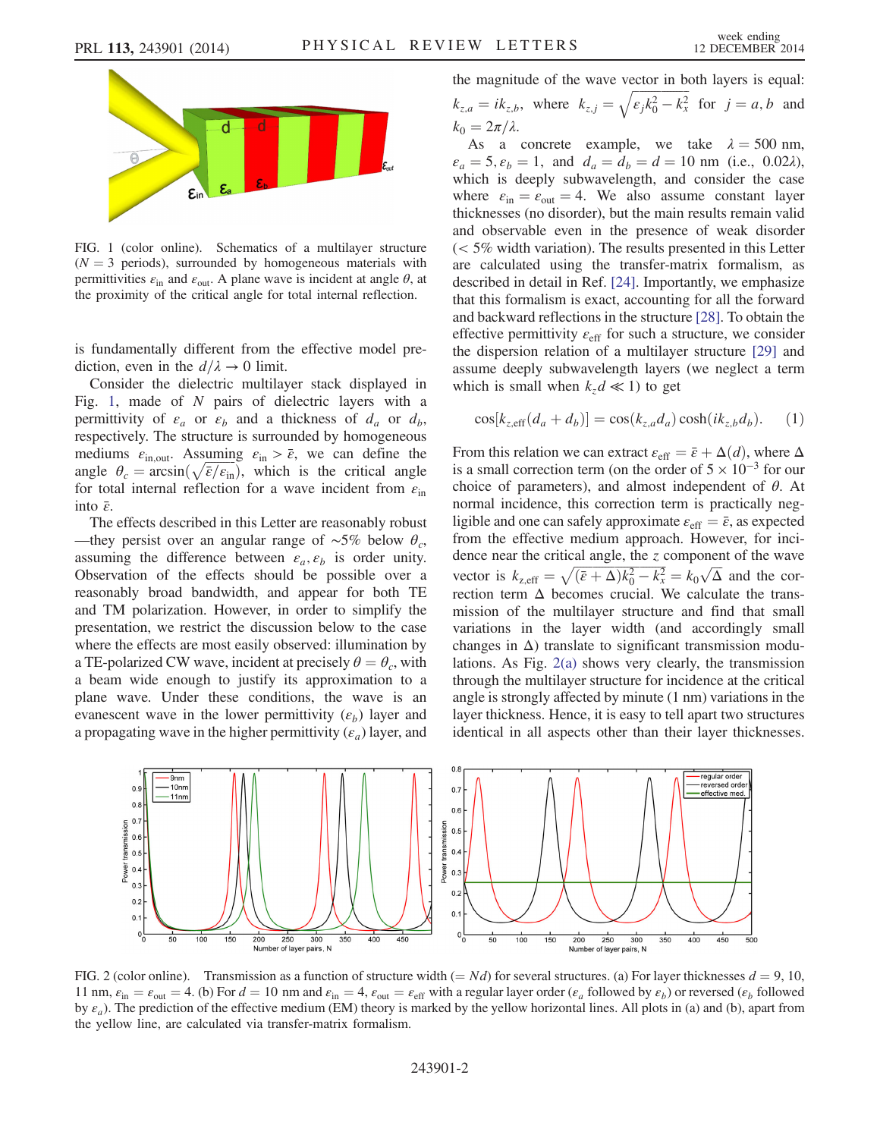<span id="page-1-0"></span>

FIG. 1 (color online). Schematics of a multilayer structure  $(N = 3$  periods), surrounded by homogeneous materials with permittivities  $\varepsilon_{\text{in}}$  and  $\varepsilon_{\text{out}}$ . A plane wave is incident at angle  $\theta$ , at the proximity of the critical angle for total internal reflection.

is fundamentally different from the effective model prediction, even in the  $d/\lambda \to 0$  limit.

Consider the dielectric multilayer stack displayed in Fig. [1](#page-1-0), made of  $N$  pairs of dielectric layers with a permittivity of  $\varepsilon_a$  or  $\varepsilon_b$  and a thickness of  $d_a$  or  $d_b$ , respectively. The structure is surrounded by homogeneous mediums  $\varepsilon_{\text{in,out}}$ . Assuming  $\varepsilon_{\text{in}} > \bar{\varepsilon}$ , we can define the mediums  $\varepsilon_{\text{in,out}}$ . Assuming  $\varepsilon_{\text{in}} > \bar{\varepsilon}$ , we can define the angle  $\theta_c = \arcsin(\sqrt{\bar{\varepsilon}/\varepsilon_{\text{in}}})$ , which is the critical angle for total internal reflection for a wave incident from  $\varepsilon_{\text{in}}$ into  $\bar{\varepsilon}$ .

The effects described in this Letter are reasonably robust —they persist over an angular range of ~5% below  $\theta_c$ , assuming the difference between  $\varepsilon_a$ ,  $\varepsilon_b$  is order unity. Observation of the effects should be possible over a reasonably broad bandwidth, and appear for both TE and TM polarization. However, in order to simplify the presentation, we restrict the discussion below to the case where the effects are most easily observed: illumination by a TE-polarized CW wave, incident at precisely  $\theta = \theta_c$ , with a beam wide enough to justify its approximation to a plane wave. Under these conditions, the wave is an evanescent wave in the lower permittivity  $(\varepsilon_b)$  layer and a propagating wave in the higher permittivity  $(\varepsilon_a)$  layer, and

the magnitude of the wave vector in both layers is equal:  $k_{z,a} = ik_{z,b}$ , where  $k_{z,j} = \sqrt{\epsilon_j k_0^2 - k_x^2}$  for  $j = a, b$  and  $k_0 = 2\pi/\lambda$ .

As a concrete example, we take  $\lambda = 500$  nm,  $\varepsilon_a = 5, \varepsilon_b = 1$ , and  $d_a = d_b = d = 10$  nm (i.e., 0.02 $\lambda$ ), which is deeply subwavelength, and consider the case where  $\varepsilon_{\text{in}} = \varepsilon_{\text{out}} = 4$ . We also assume constant layer thicknesses (no disorder), but the main results remain valid and observable even in the presence of weak disorder  $(< 5\%$  width variation). The results presented in this Letter are calculated using the transfer-matrix formalism, as described in detail in Ref. [\[24\]](#page-4-11). Importantly, we emphasize that this formalism is exact, accounting for all the forward and backward reflections in the structure [\[28\]](#page-4-12). To obtain the effective permittivity  $\varepsilon_{\text{eff}}$  for such a structure, we consider the dispersion relation of a multilayer structure [\[29\]](#page-4-13) and assume deeply subwavelength layers (we neglect a term which is small when  $k_z d \ll 1$ ) to get

$$
\cos[k_{z, \text{eff}}(d_a + d_b)] = \cos(k_{z, a}d_a)\cosh(ik_{z, b}d_b). \tag{1}
$$

From this relation we can extract  $\varepsilon_{\text{eff}} = \bar{\varepsilon} + \Delta(d)$ , where  $\Delta$ is a small correction term (on the order of  $5 \times 10^{-3}$  for our choice of parameters), and almost independent of  $\theta$ . At normal incidence, this correction term is practically negligible and one can safely approximate  $\varepsilon_{\text{eff}} = \bar{\varepsilon}$ , as expected from the effective medium approach. However, for incidence near the critical angle, the  $z$  component of the wave dence near the critical angle, the z component of the wave<br>vector is  $k_{z,eff} = \sqrt{(\bar{\varepsilon} + \Delta)k_0^2 - k_x^2} = k_0\sqrt{\Delta}$  and the correction term  $\Delta$  becomes crucial. We calculate the transmission of the multilayer structure and find that small variations in the layer width (and accordingly small changes in  $\Delta$ ) translate to significant transmission modulations. As Fig. [2\(a\)](#page-1-1) shows very clearly, the transmission through the multilayer structure for incidence at the critical angle is strongly affected by minute (1 nm) variations in the layer thickness. Hence, it is easy to tell apart two structures identical in all aspects other than their layer thicknesses.

<span id="page-1-1"></span>

FIG. 2 (color online). Transmission as a function of structure width  $(= Nd)$  for several structures. (a) For layer thicknesses  $d = 9, 10$ , 11 nm,  $\varepsilon_{\text{in}} = \varepsilon_{\text{out}} = 4$ . (b) For  $d = 10$  nm and  $\varepsilon_{\text{in}} = 4$ ,  $\varepsilon_{\text{out}} = \varepsilon_{\text{eff}}$  with a regular layer order ( $\varepsilon_a$  followed by  $\varepsilon_b$ ) or reversed ( $\varepsilon_b$  followed by  $\varepsilon_a$ ). The prediction of the effective medium (EM) theory is marked by the yellow horizontal lines. All plots in (a) and (b), apart from the yellow line, are calculated via transfer-matrix formalism.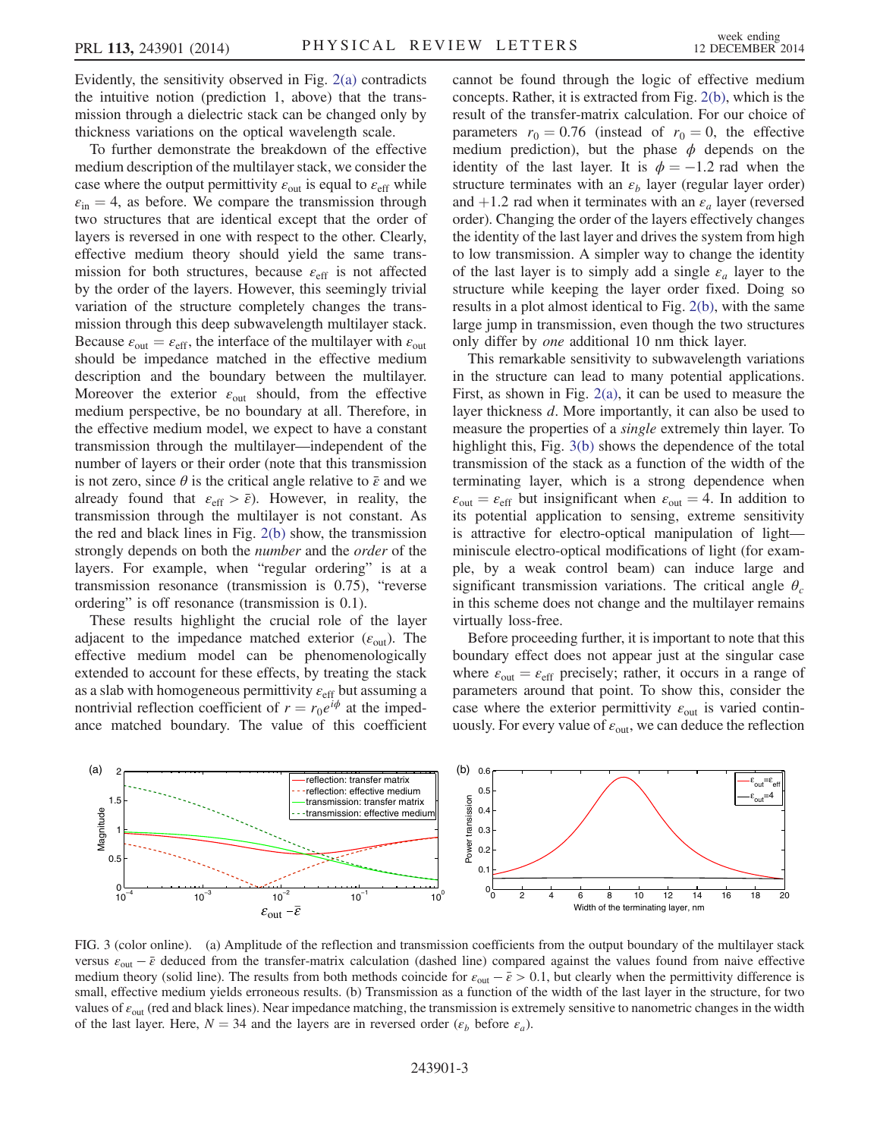Evidently, the sensitivity observed in Fig. [2\(a\)](#page-1-1) contradicts the intuitive notion (prediction 1, above) that the transmission through a dielectric stack can be changed only by thickness variations on the optical wavelength scale.

To further demonstrate the breakdown of the effective medium description of the multilayer stack, we consider the case where the output permittivity  $\varepsilon_{\text{out}}$  is equal to  $\varepsilon_{\text{eff}}$  while  $\varepsilon_{\text{in}} = 4$ , as before. We compare the transmission through two structures that are identical except that the order of layers is reversed in one with respect to the other. Clearly, effective medium theory should yield the same transmission for both structures, because  $\varepsilon_{\text{eff}}$  is not affected by the order of the layers. However, this seemingly trivial variation of the structure completely changes the transmission through this deep subwavelength multilayer stack. Because  $\varepsilon_{\text{out}} = \varepsilon_{\text{eff}}$ , the interface of the multilayer with  $\varepsilon_{\text{out}}$ should be impedance matched in the effective medium description and the boundary between the multilayer. Moreover the exterior  $\varepsilon_{\text{out}}$  should, from the effective medium perspective, be no boundary at all. Therefore, in the effective medium model, we expect to have a constant transmission through the multilayer—independent of the number of layers or their order (note that this transmission is not zero, since  $\theta$  is the critical angle relative to  $\bar{\varepsilon}$  and we already found that  $\varepsilon_{\text{eff}} > \bar{\varepsilon}$ ). However, in reality, the transmission through the multilayer is not constant. As the red and black lines in Fig. [2\(b\)](#page-1-1) show, the transmission strongly depends on both the number and the order of the layers. For example, when "regular ordering" is at a transmission resonance (transmission is 0.75), "reverse ordering" is off resonance (transmission is 0.1).

These results highlight the crucial role of the layer adjacent to the impedance matched exterior  $(\varepsilon_{\text{out}})$ . The effective medium model can be phenomenologically extended to account for these effects, by treating the stack as a slab with homogeneous permittivity  $\varepsilon$ <sub>eff</sub> but assuming a nontrivial reflection coefficient of  $r = r_0 e^{i\phi}$  at the impedance matched boundary. The value of this coefficient cannot be found through the logic of effective medium concepts. Rather, it is extracted from Fig. [2\(b\)](#page-1-1), which is the result of the transfer-matrix calculation. For our choice of parameters  $r_0 = 0.76$  (instead of  $r_0 = 0$ , the effective medium prediction), but the phase  $\phi$  depends on the identity of the last layer. It is  $\phi = -1.2$  rad when the structure terminates with an  $\varepsilon_b$  layer (regular layer order) and +1.2 rad when it terminates with an  $\varepsilon_a$  layer (reversed order). Changing the order of the layers effectively changes the identity of the last layer and drives the system from high to low transmission. A simpler way to change the identity of the last layer is to simply add a single  $\varepsilon_a$  layer to the structure while keeping the layer order fixed. Doing so results in a plot almost identical to Fig. [2\(b\)](#page-1-1), with the same large jump in transmission, even though the two structures only differ by one additional 10 nm thick layer.

This remarkable sensitivity to subwavelength variations in the structure can lead to many potential applications. First, as shown in Fig. [2\(a\),](#page-1-1) it can be used to measure the layer thickness d. More importantly, it can also be used to measure the properties of a single extremely thin layer. To highlight this, Fig. [3\(b\)](#page-2-0) shows the dependence of the total transmission of the stack as a function of the width of the terminating layer, which is a strong dependence when  $\varepsilon_{\text{out}} = \varepsilon_{\text{eff}}$  but insignificant when  $\varepsilon_{\text{out}} = 4$ . In addition to its potential application to sensing, extreme sensitivity is attractive for electro-optical manipulation of light miniscule electro-optical modifications of light (for example, by a weak control beam) can induce large and significant transmission variations. The critical angle  $\theta_c$ in this scheme does not change and the multilayer remains virtually loss-free.

Before proceeding further, it is important to note that this boundary effect does not appear just at the singular case where  $\varepsilon_{\text{out}} = \varepsilon_{\text{eff}}$  precisely; rather, it occurs in a range of parameters around that point. To show this, consider the case where the exterior permittivity  $\varepsilon_{\text{out}}$  is varied continuously. For every value of  $\varepsilon_{\text{out}}$ , we can deduce the reflection

<span id="page-2-0"></span>

FIG. 3 (color online). (a) Amplitude of the reflection and transmission coefficients from the output boundary of the multilayer stack versus  $\varepsilon_{\text{out}} - \bar{\varepsilon}$  deduced from the transfer-matrix calculation (dashed line) compared against the values found from naive effective medium theory (solid line). The results from both methods coincide for  $\varepsilon_{\text{out}} - \bar{\varepsilon} > 0.1$ , but clearly when the permittivity difference is small, effective medium yields erroneous results. (b) Transmission as a function of the width of the last layer in the structure, for two values of  $\varepsilon_{\text{out}}$  (red and black lines). Near impedance matching, the transmission is extremely sensitive to nanometric changes in the width of the last layer. Here,  $N = 34$  and the layers are in reversed order ( $\varepsilon_b$  before  $\varepsilon_a$ ).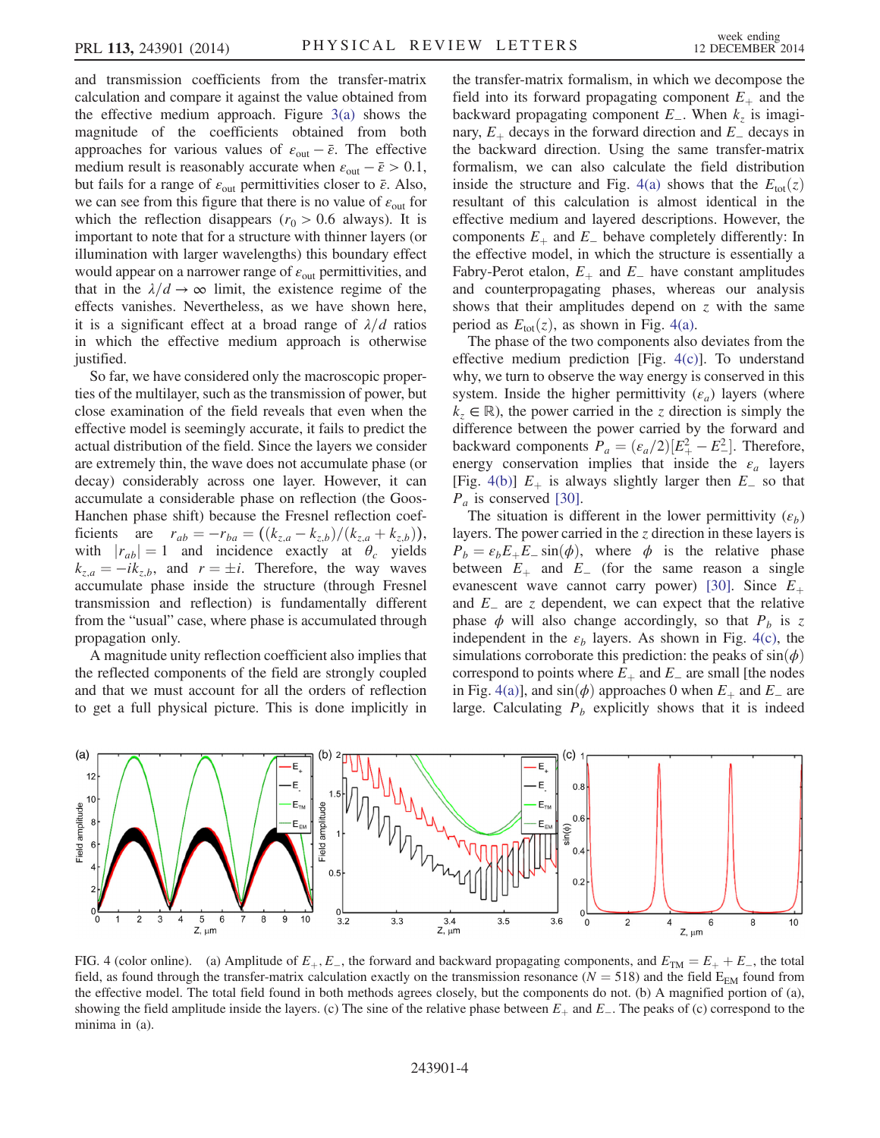and transmission coefficients from the transfer-matrix calculation and compare it against the value obtained from the effective medium approach. Figure  $3(a)$  shows the magnitude of the coefficients obtained from both approaches for various values of  $\varepsilon_{\text{out}} - \bar{\varepsilon}$ . The effective medium result is reasonably accurate when  $\varepsilon_{\text{out}} - \bar{\varepsilon} > 0.1$ , but fails for a range of  $\varepsilon_{\text{out}}$  permittivities closer to  $\bar{\varepsilon}$ . Also, we can see from this figure that there is no value of  $\varepsilon_{\text{out}}$  for which the reflection disappears ( $r_0 > 0.6$  always). It is important to note that for a structure with thinner layers (or illumination with larger wavelengths) this boundary effect would appear on a narrower range of  $\varepsilon_{\text{out}}$  permittivities, and that in the  $\lambda/d \rightarrow \infty$  limit, the existence regime of the effects vanishes. Nevertheless, as we have shown here, it is a significant effect at a broad range of  $\lambda/d$  ratios in which the effective medium approach is otherwise justified.

So far, we have considered only the macroscopic properties of the multilayer, such as the transmission of power, but close examination of the field reveals that even when the effective model is seemingly accurate, it fails to predict the actual distribution of the field. Since the layers we consider are extremely thin, the wave does not accumulate phase (or decay) considerably across one layer. However, it can accumulate a considerable phase on reflection (the Goos-Hanchen phase shift) because the Fresnel reflection coefficients are  $r_{ab} = -r_{ba} = ((k_{z,a} - k_{z,b})/(k_{z,a} + k_{z,b})),$ with  $|r_{ab}| = 1$  and incidence exactly at  $\theta_c$  yields  $k_{z,a} = -ik_{z,b}$ , and  $r = \pm i$ . Therefore, the way waves accumulate phase inside the structure (through Fresnel transmission and reflection) is fundamentally different from the "usual" case, where phase is accumulated through propagation only.

A magnitude unity reflection coefficient also implies that the reflected components of the field are strongly coupled and that we must account for all the orders of reflection to get a full physical picture. This is done implicitly in the transfer-matrix formalism, in which we decompose the field into its forward propagating component  $E_{+}$  and the backward propagating component  $E_$ . When  $k_z$  is imaginary,  $E_{+}$  decays in the forward direction and  $E_{-}$  decays in the backward direction. Using the same transfer-matrix formalism, we can also calculate the field distribution inside the structure and Fig. [4\(a\)](#page-3-0) shows that the  $E_{tot}(z)$ resultant of this calculation is almost identical in the effective medium and layered descriptions. However, the components  $E_+$  and  $E_-$  behave completely differently: In the effective model, in which the structure is essentially a Fabry-Perot etalon,  $E_+$  and  $E_-$  have constant amplitudes and counterpropagating phases, whereas our analysis shows that their amplitudes depend on z with the same period as  $E_{\text{tot}}(z)$ , as shown in Fig. [4\(a\)](#page-3-0).

The phase of the two components also deviates from the effective medium prediction [Fig.  $4(c)$ ]. To understand why, we turn to observe the way energy is conserved in this system. Inside the higher permittivity  $(\varepsilon_a)$  layers (where  $k_z \in \mathbb{R}$ , the power carried in the z direction is simply the difference between the power carried by the forward and backward components  $P_a = (\varepsilon_a/2)[E_+^2 - E_-^2]$ . Therefore, energy conservation implies that inside the  $\varepsilon_a$  layers [Fig. [4\(b\)\]](#page-3-0)  $E_+$  is always slightly larger then  $E_-\$  so that  $P_a$  is conserved [\[30\].](#page-4-14)

The situation is different in the lower permittivity  $(\varepsilon_b)$ layers. The power carried in the z direction in these layers is  $P_b = \varepsilon_b E_+ E_- \sin(\phi)$ , where  $\phi$  is the relative phase between  $E_+$  and  $E_-$  (for the same reason a single evanescent wave cannot carry power) [\[30\].](#page-4-14) Since  $E_+$ and  $E_$  are z dependent, we can expect that the relative phase  $\phi$  will also change accordingly, so that  $P_b$  is z independent in the  $\varepsilon_b$  layers. As shown in Fig. [4\(c\),](#page-3-0) the simulations corroborate this prediction: the peaks of  $sin(\phi)$ correspond to points where  $E_+$  and  $E_-$  are small [the nodes in Fig. [4\(a\)](#page-3-0)], and  $sin(φ)$  approaches 0 when  $E_+$  and  $E_-$  are large. Calculating  $P_b$  explicitly shows that it is indeed

<span id="page-3-0"></span>

FIG. 4 (color online). (a) Amplitude of  $E_+, E_-,$  the forward and backward propagating components, and  $E_{TM} = E_+ + E_-,$  the total field, as found through the transfer-matrix calculation exactly on the transmission resonance ( $N = 518$ ) and the field  $E_{EM}$  found from the effective model. The total field found in both methods agrees closely, but the components do not. (b) A magnified portion of (a), showing the field amplitude inside the layers. (c) The sine of the relative phase between  $E_+$  and  $E_-$ . The peaks of (c) correspond to the minima in (a).